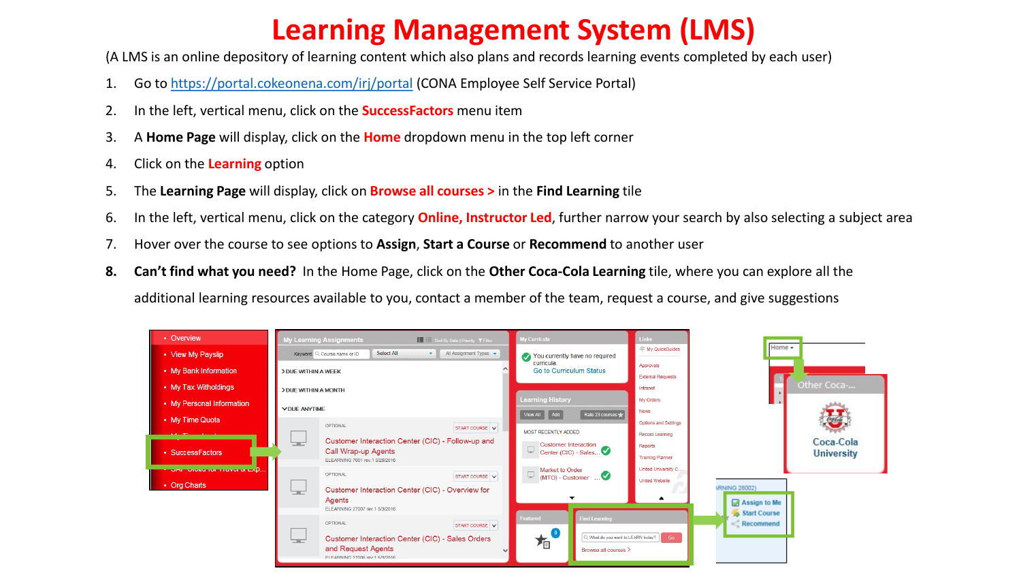## **Learning Management System (LMS)**

(A LMS is an online depository of learning content which also plans and records learning events completed by each user)

- 1. Go to <https://portal.cokeonena.com/irj/portal> (CONA Employee Self Service Portal)
- 2. In the left, vertical menu, click on the **SuccessFactors** menu item
- 3. A **Home Page** will display, click on the **Home** dropdown menu in the top left corner
- 4. Click on the **Learning** option
- 5. The **Learning Page** will display, click on **Browse all courses >** in the **Find Learning** tile
- 6. In the left, vertical menu, click on the category **Online, Instructor Led**, further narrow your search by also selecting a subject area
- 7. Hover over the course to see options to **Assign**, **Start a Course** or **Recommend** to another user
- **8. Can't find what you need?** In the Home Page, click on the **Other Coca-Cola Learning** tile, where you can explore all the additional learning resources available to you, contact a member of the team, request a course, and give suggestions